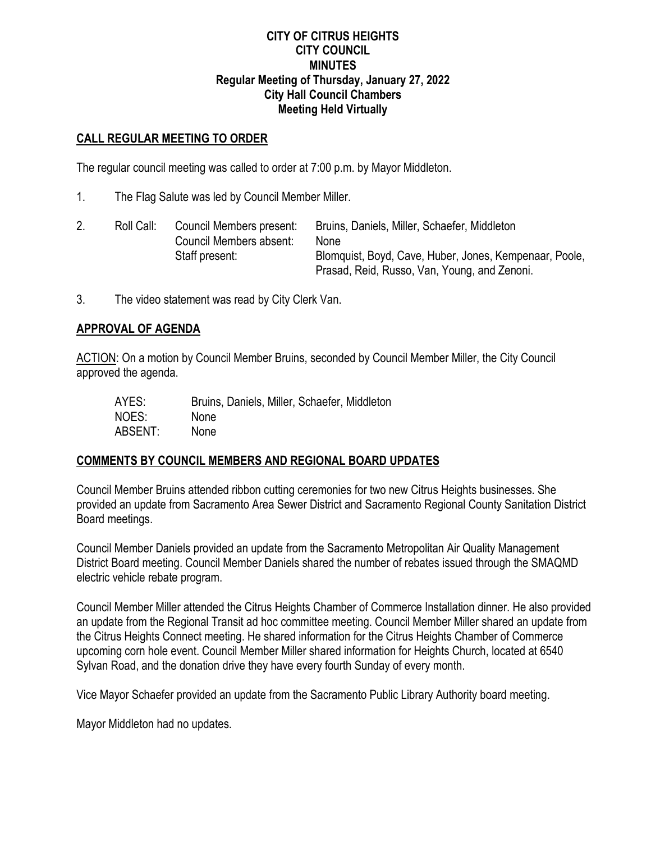### **CITY OF CITRUS HEIGHTS CITY COUNCIL MINUTES Regular Meeting of Thursday, January 27, 2022 City Hall Council Chambers Meeting Held Virtually**

### **CALL REGULAR MEETING TO ORDER**

The regular council meeting was called to order at 7:00 p.m. by Mayor Middleton.

1. The Flag Salute was led by Council Member Miller.

|  | Roll Call: | Council Members present:<br>Council Members absent: | Bruins, Daniels, Miller, Schaefer, Middleton<br>None                                                   |
|--|------------|-----------------------------------------------------|--------------------------------------------------------------------------------------------------------|
|  |            | Staff present:                                      | Blomquist, Boyd, Cave, Huber, Jones, Kempenaar, Poole,<br>Prasad, Reid, Russo, Van, Young, and Zenoni. |

3. The video statement was read by City Clerk Van.

### **APPROVAL OF AGENDA**

ACTION: On a motion by Council Member Bruins, seconded by Council Member Miller, the City Council approved the agenda.

| AYES:   | Bruins, Daniels, Miller, Schaefer, Middleton |
|---------|----------------------------------------------|
| NOES:   | <b>None</b>                                  |
| ABSENT: | <b>None</b>                                  |

## **COMMENTS BY COUNCIL MEMBERS AND REGIONAL BOARD UPDATES**

Council Member Bruins attended ribbon cutting ceremonies for two new Citrus Heights businesses. She provided an update from Sacramento Area Sewer District and Sacramento Regional County Sanitation District Board meetings.

Council Member Daniels provided an update from the Sacramento Metropolitan Air Quality Management District Board meeting. Council Member Daniels shared the number of rebates issued through the SMAQMD electric vehicle rebate program.

Council Member Miller attended the Citrus Heights Chamber of Commerce Installation dinner. He also provided an update from the Regional Transit ad hoc committee meeting. Council Member Miller shared an update from the Citrus Heights Connect meeting. He shared information for the Citrus Heights Chamber of Commerce upcoming corn hole event. Council Member Miller shared information for Heights Church, located at 6540 Sylvan Road, and the donation drive they have every fourth Sunday of every month.

Vice Mayor Schaefer provided an update from the Sacramento Public Library Authority board meeting.

Mayor Middleton had no updates.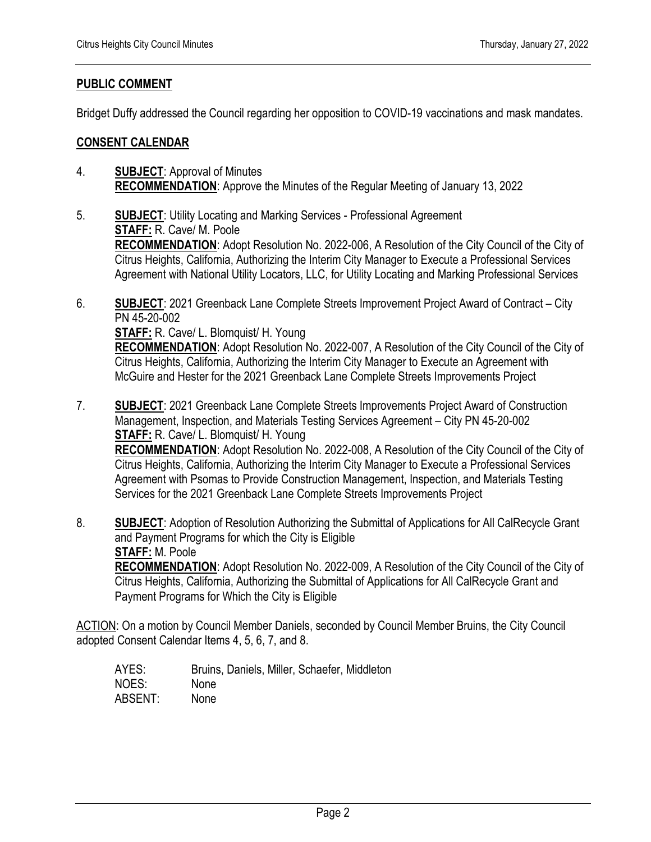## **PUBLIC COMMENT**

Bridget Duffy addressed the Council regarding her opposition to COVID-19 vaccinations and mask mandates.

### **CONSENT CALENDAR**

- 4. **SUBJECT**: Approval of Minutes **RECOMMENDATION**: Approve the Minutes of the Regular Meeting of January 13, 2022
- 5. **SUBJECT**: Utility Locating and Marking Services Professional Agreement **STAFF:** R. Cave/ M. Poole **RECOMMENDATION**: Adopt Resolution No. 2022-006, A Resolution of the City Council of the City of Citrus Heights, California, Authorizing the Interim City Manager to Execute a Professional Services Agreement with National Utility Locators, LLC, for Utility Locating and Marking Professional Services
- 6. **SUBJECT**: 2021 Greenback Lane Complete Streets Improvement Project Award of Contract City PN 45-20-002

**STAFF:** R. Cave/ L. Blomquist/ H. Young

**RECOMMENDATION**: Adopt Resolution No. 2022-007, A Resolution of the City Council of the City of Citrus Heights, California, Authorizing the Interim City Manager to Execute an Agreement with McGuire and Hester for the 2021 Greenback Lane Complete Streets Improvements Project

- 7. **SUBJECT**: 2021 Greenback Lane Complete Streets Improvements Project Award of Construction Management, Inspection, and Materials Testing Services Agreement – City PN 45-20-002 **STAFF:** R. Cave/ L. Blomquist/ H. Young **RECOMMENDATION**: Adopt Resolution No. 2022-008, A Resolution of the City Council of the City of Citrus Heights, California, Authorizing the Interim City Manager to Execute a Professional Services Agreement with Psomas to Provide Construction Management, Inspection, and Materials Testing Services for the 2021 Greenback Lane Complete Streets Improvements Project
- 8. **SUBJECT**: Adoption of Resolution Authorizing the Submittal of Applications for All CalRecycle Grant and Payment Programs for which the City is Eligible **STAFF:** M. Poole **RECOMMENDATION**: Adopt Resolution No. 2022-009, A Resolution of the City Council of the City of Citrus Heights, California, Authorizing the Submittal of Applications for All CalRecycle Grant and Payment Programs for Which the City is Eligible

ACTION: On a motion by Council Member Daniels, seconded by Council Member Bruins, the City Council adopted Consent Calendar Items 4, 5, 6, 7, and 8.

AYES: Bruins, Daniels, Miller, Schaefer, Middleton NOES: None ABSENT: None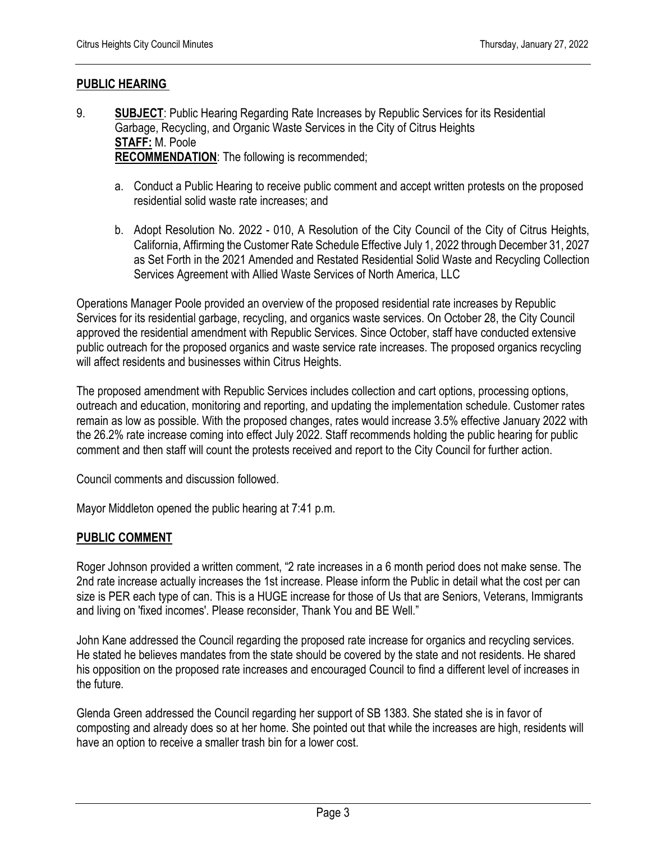## **PUBLIC HEARING**

- 9. **SUBJECT**: Public Hearing Regarding Rate Increases by Republic Services for its Residential Garbage, Recycling, and Organic Waste Services in the City of Citrus Heights **STAFF:** M. Poole **RECOMMENDATION**: The following is recommended;
	- a. Conduct a Public Hearing to receive public comment and accept written protests on the proposed residential solid waste rate increases; and
	- b. Adopt Resolution No. 2022 010, A Resolution of the City Council of the City of Citrus Heights, California, Affirming the Customer Rate Schedule Effective July 1, 2022 through December 31, 2027 as Set Forth in the 2021 Amended and Restated Residential Solid Waste and Recycling Collection Services Agreement with Allied Waste Services of North America, LLC

Operations Manager Poole provided an overview of the proposed residential rate increases by Republic Services for its residential garbage, recycling, and organics waste services. On October 28, the City Council approved the residential amendment with Republic Services. Since October, staff have conducted extensive public outreach for the proposed organics and waste service rate increases. The proposed organics recycling will affect residents and businesses within Citrus Heights.

The proposed amendment with Republic Services includes collection and cart options, processing options, outreach and education, monitoring and reporting, and updating the implementation schedule. Customer rates remain as low as possible. With the proposed changes, rates would increase 3.5% effective January 2022 with the 26.2% rate increase coming into effect July 2022. Staff recommends holding the public hearing for public comment and then staff will count the protests received and report to the City Council for further action.

Council comments and discussion followed.

Mayor Middleton opened the public hearing at 7:41 p.m.

## **PUBLIC COMMENT**

Roger Johnson provided a written comment, "2 rate increases in a 6 month period does not make sense. The 2nd rate increase actually increases the 1st increase. Please inform the Public in detail what the cost per can size is PER each type of can. This is a HUGE increase for those of Us that are Seniors, Veterans, Immigrants and living on 'fixed incomes'. Please reconsider, Thank You and BE Well."

John Kane addressed the Council regarding the proposed rate increase for organics and recycling services. He stated he believes mandates from the state should be covered by the state and not residents. He shared his opposition on the proposed rate increases and encouraged Council to find a different level of increases in the future.

Glenda Green addressed the Council regarding her support of SB 1383. She stated she is in favor of composting and already does so at her home. She pointed out that while the increases are high, residents will have an option to receive a smaller trash bin for a lower cost.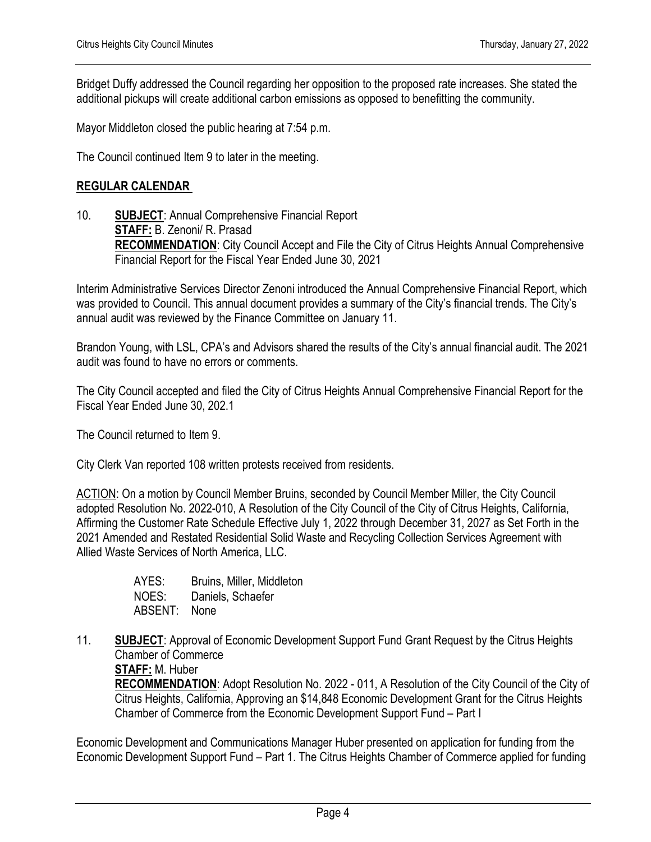Bridget Duffy addressed the Council regarding her opposition to the proposed rate increases. She stated the additional pickups will create additional carbon emissions as opposed to benefitting the community.

Mayor Middleton closed the public hearing at 7:54 p.m.

The Council continued Item 9 to later in the meeting.

#### **REGULAR CALENDAR**

10. **SUBJECT**: Annual Comprehensive Financial Report **STAFF:** B. Zenoni/ R. Prasad **RECOMMENDATION:** City Council Accept and File the City of Citrus Heights Annual Comprehensive Financial Report for the Fiscal Year Ended June 30, 2021

Interim Administrative Services Director Zenoni introduced the Annual Comprehensive Financial Report, which was provided to Council. This annual document provides a summary of the City's financial trends. The City's annual audit was reviewed by the Finance Committee on January 11.

Brandon Young, with LSL, CPA's and Advisors shared the results of the City's annual financial audit. The 2021 audit was found to have no errors or comments.

The City Council accepted and filed the City of Citrus Heights Annual Comprehensive Financial Report for the Fiscal Year Ended June 30, 202.1

The Council returned to Item 9.

City Clerk Van reported 108 written protests received from residents.

ACTION: On a motion by Council Member Bruins, seconded by Council Member Miller, the City Council adopted Resolution No. 2022-010, A Resolution of the City Council of the City of Citrus Heights, California, Affirming the Customer Rate Schedule Effective July 1, 2022 through December 31, 2027 as Set Forth in the 2021 Amended and Restated Residential Solid Waste and Recycling Collection Services Agreement with Allied Waste Services of North America, LLC.

> AYES: Bruins, Miller, Middleton NOES: Daniels, Schaefer ABSENT: None

11. **SUBJECT**: Approval of Economic Development Support Fund Grant Request by the Citrus Heights Chamber of Commerce

**STAFF:** M. Huber

**RECOMMENDATION**: Adopt Resolution No. 2022 - 011, A Resolution of the City Council of the City of Citrus Heights, California, Approving an \$14,848 Economic Development Grant for the Citrus Heights Chamber of Commerce from the Economic Development Support Fund – Part I

Economic Development and Communications Manager Huber presented on application for funding from the Economic Development Support Fund – Part 1. The Citrus Heights Chamber of Commerce applied for funding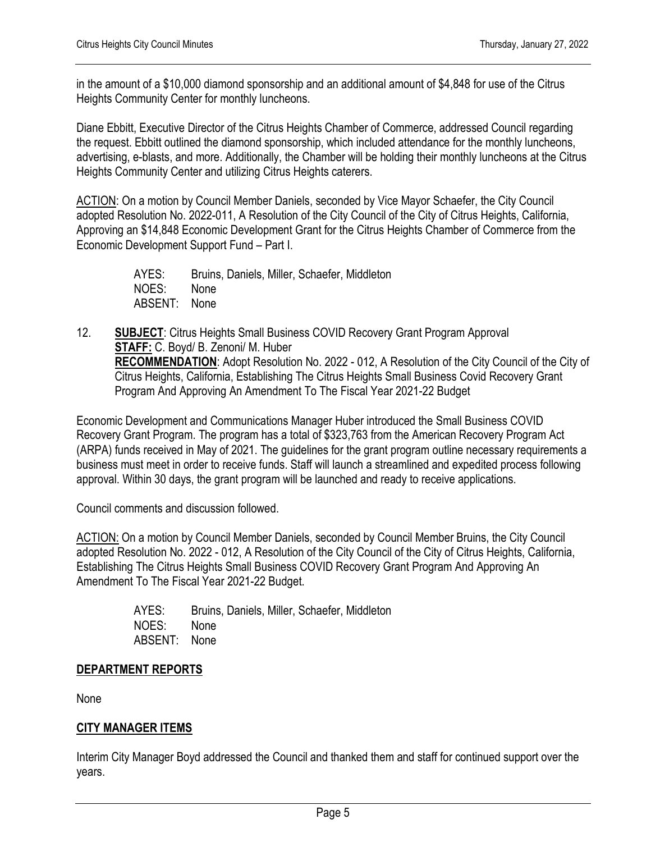in the amount of a \$10,000 diamond sponsorship and an additional amount of \$4,848 for use of the Citrus Heights Community Center for monthly luncheons.

Diane Ebbitt, Executive Director of the Citrus Heights Chamber of Commerce, addressed Council regarding the request. Ebbitt outlined the diamond sponsorship, which included attendance for the monthly luncheons, advertising, e-blasts, and more. Additionally, the Chamber will be holding their monthly luncheons at the Citrus Heights Community Center and utilizing Citrus Heights caterers.

ACTION: On a motion by Council Member Daniels, seconded by Vice Mayor Schaefer, the City Council adopted Resolution No. 2022-011, A Resolution of the City Council of the City of Citrus Heights, California, Approving an \$14,848 Economic Development Grant for the Citrus Heights Chamber of Commerce from the Economic Development Support Fund – Part I.

> AYES: Bruins, Daniels, Miller, Schaefer, Middleton NOES: None ABSENT: None

12. **SUBJECT**: Citrus Heights Small Business COVID Recovery Grant Program Approval **STAFF:** C. Boyd/ B. Zenoni/ M. Huber **RECOMMENDATION**: Adopt Resolution No. 2022 - 012, A Resolution of the City Council of the City of Citrus Heights, California, Establishing The Citrus Heights Small Business Covid Recovery Grant Program And Approving An Amendment To The Fiscal Year 2021-22 Budget

Economic Development and Communications Manager Huber introduced the Small Business COVID Recovery Grant Program. The program has a total of \$323,763 from the American Recovery Program Act (ARPA) funds received in May of 2021. The guidelines for the grant program outline necessary requirements a business must meet in order to receive funds. Staff will launch a streamlined and expedited process following approval. Within 30 days, the grant program will be launched and ready to receive applications.

Council comments and discussion followed.

ACTION: On a motion by Council Member Daniels, seconded by Council Member Bruins, the City Council adopted Resolution No. 2022 - 012, A Resolution of the City Council of the City of Citrus Heights, California, Establishing The Citrus Heights Small Business COVID Recovery Grant Program And Approving An Amendment To The Fiscal Year 2021-22 Budget.

> AYES: Bruins, Daniels, Miller, Schaefer, Middleton NOES: None ABSENT: None

## **DEPARTMENT REPORTS**

None

# **CITY MANAGER ITEMS**

Interim City Manager Boyd addressed the Council and thanked them and staff for continued support over the years.